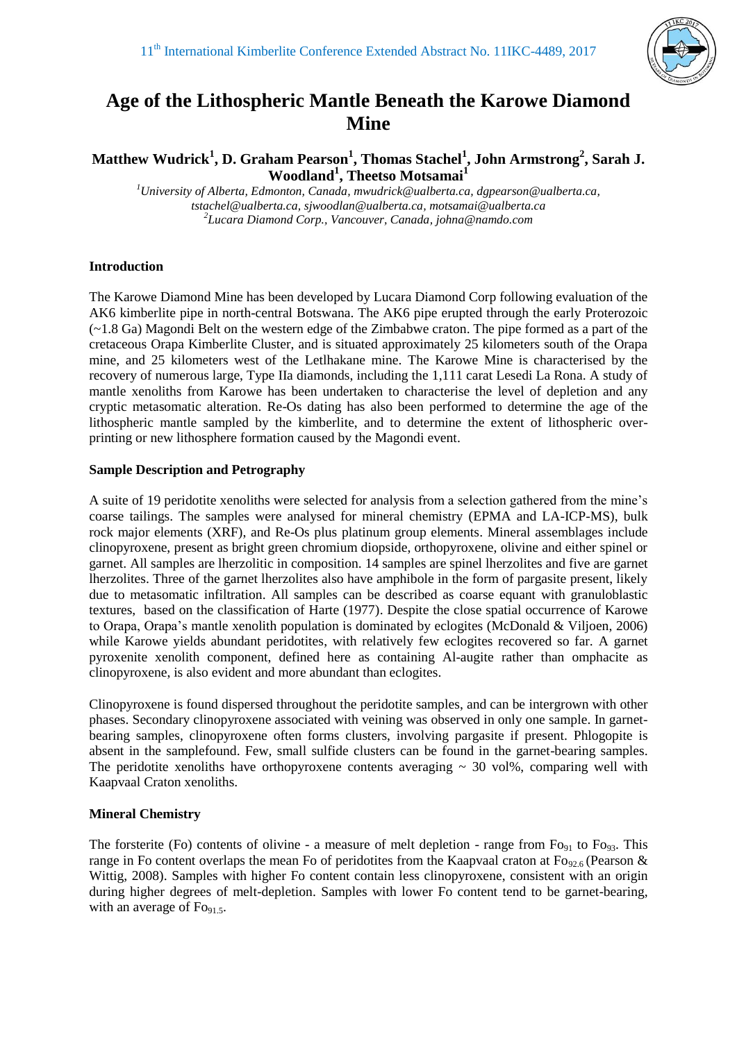

# **Age of the Lithospheric Mantle Beneath the Karowe Diamond Mine**

**Matthew Wudrick<sup>1</sup> , D. Graham Pearson<sup>1</sup> , Thomas Stachel<sup>1</sup> , John Armstrong<sup>2</sup> , Sarah J. Woodland<sup>1</sup> , Theetso Motsamai<sup>1</sup>**

*<sup>1</sup>University of Alberta, Edmonton, Canada, mwudrick@ualberta.ca, dgpearson@ualberta.ca, tstachel@ualberta.ca, sjwoodlan@ualberta.ca, motsamai@ualberta.ca 2 Lucara Diamond Corp., Vancouver, Canada, johna@namdo.com*

### **Introduction**

The Karowe Diamond Mine has been developed by Lucara Diamond Corp following evaluation of the AK6 kimberlite pipe in north-central Botswana. The AK6 pipe erupted through the early Proterozoic (~1.8 Ga) Magondi Belt on the western edge of the Zimbabwe craton. The pipe formed as a part of the cretaceous Orapa Kimberlite Cluster, and is situated approximately 25 kilometers south of the Orapa mine, and 25 kilometers west of the Letlhakane mine. The Karowe Mine is characterised by the recovery of numerous large, Type IIa diamonds, including the 1,111 carat Lesedi La Rona. A study of mantle xenoliths from Karowe has been undertaken to characterise the level of depletion and any cryptic metasomatic alteration. Re-Os dating has also been performed to determine the age of the lithospheric mantle sampled by the kimberlite, and to determine the extent of lithospheric overprinting or new lithosphere formation caused by the Magondi event.

#### **Sample Description and Petrography**

A suite of 19 peridotite xenoliths were selected for analysis from a selection gathered from the mine's coarse tailings. The samples were analysed for mineral chemistry (EPMA and LA-ICP-MS), bulk rock major elements (XRF), and Re-Os plus platinum group elements. Mineral assemblages include clinopyroxene, present as bright green chromium diopside, orthopyroxene, olivine and either spinel or garnet. All samples are lherzolitic in composition. 14 samples are spinel lherzolites and five are garnet lherzolites. Three of the garnet lherzolites also have amphibole in the form of pargasite present, likely due to metasomatic infiltration. All samples can be described as coarse equant with granuloblastic textures, based on the classification of Harte (1977). Despite the close spatial occurrence of Karowe to Orapa, Orapa's mantle xenolith population is dominated by eclogites (McDonald & Viljoen, 2006) while Karowe yields abundant peridotites, with relatively few eclogites recovered so far. A garnet pyroxenite xenolith component, defined here as containing Al-augite rather than omphacite as clinopyroxene, is also evident and more abundant than eclogites.

Clinopyroxene is found dispersed throughout the peridotite samples, and can be intergrown with other phases. Secondary clinopyroxene associated with veining was observed in only one sample. In garnetbearing samples, clinopyroxene often forms clusters, involving pargasite if present. Phlogopite is absent in the samplefound. Few, small sulfide clusters can be found in the garnet-bearing samples. The peridotite xenoliths have orthopyroxene contents averaging  $\sim$  30 vol%, comparing well with Kaapvaal Craton xenoliths.

# **Mineral Chemistry**

The forsterite (Fo) contents of olivine - a measure of melt depletion - range from  $Fo_{91}$  to  $Fo_{93}$ . This range in Fo content overlaps the mean Fo of peridotites from the Kaapvaal craton at Fo<sub>92.6</sub> (Pearson & Wittig, 2008). Samples with higher Fo content contain less clinopyroxene, consistent with an origin during higher degrees of melt-depletion. Samples with lower Fo content tend to be garnet-bearing, with an average of  $\text{Fo}_{91.5}$ .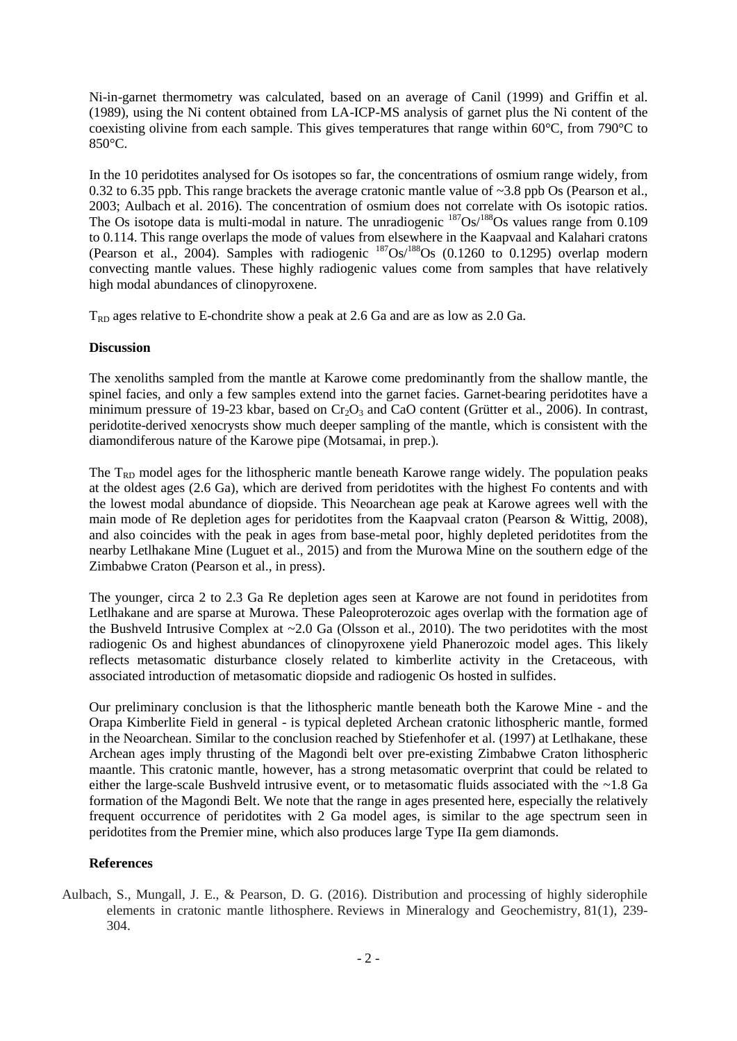Ni-in-garnet thermometry was calculated, based on an average of Canil (1999) and Griffin et al. (1989), using the Ni content obtained from LA-ICP-MS analysis of garnet plus the Ni content of the coexisting olivine from each sample. This gives temperatures that range within  $60^{\circ}$ C, from 790 $^{\circ}$ C to 850°C.

In the 10 peridotites analysed for Os isotopes so far, the concentrations of osmium range widely, from 0.32 to 6.35 ppb. This range brackets the average cratonic mantle value of ~3.8 ppb Os (Pearson et al., 2003; Aulbach et al. 2016). The concentration of osmium does not correlate with Os isotopic ratios. The Os isotope data is multi-modal in nature. The unradiogenic  $187Os/188Os$  values range from 0.109 to 0.114. This range overlaps the mode of values from elsewhere in the Kaapvaal and Kalahari cratons (Pearson et al., 2004). Samples with radiogenic  $^{187}Os/188}Os (0.1260 to 0.1295)$  overlap modern convecting mantle values. These highly radiogenic values come from samples that have relatively high modal abundances of clinopyroxene.

 $T_{RD}$  ages relative to E-chondrite show a peak at 2.6 Ga and are as low as 2.0 Ga.

### **Discussion**

The xenoliths sampled from the mantle at Karowe come predominantly from the shallow mantle, the spinel facies, and only a few samples extend into the garnet facies. Garnet-bearing peridotites have a minimum pressure of 19-23 kbar, based on  $Cr_2O_3$  and CaO content (Grütter et al., 2006). In contrast, peridotite-derived xenocrysts show much deeper sampling of the mantle, which is consistent with the diamondiferous nature of the Karowe pipe (Motsamai, in prep.).

The  $T_{RD}$  model ages for the lithospheric mantle beneath Karowe range widely. The population peaks at the oldest ages (2.6 Ga), which are derived from peridotites with the highest Fo contents and with the lowest modal abundance of diopside. This Neoarchean age peak at Karowe agrees well with the main mode of Re depletion ages for peridotites from the Kaapvaal craton (Pearson & Wittig, 2008), and also coincides with the peak in ages from base-metal poor, highly depleted peridotites from the nearby Letlhakane Mine (Luguet et al., 2015) and from the Murowa Mine on the southern edge of the Zimbabwe Craton (Pearson et al., in press).

The younger, circa 2 to 2.3 Ga Re depletion ages seen at Karowe are not found in peridotites from Letlhakane and are sparse at Murowa. These Paleoproterozoic ages overlap with the formation age of the Bushveld Intrusive Complex at  $\sim$ 2.0 Ga (Olsson et al., 2010). The two peridotites with the most radiogenic Os and highest abundances of clinopyroxene yield Phanerozoic model ages. This likely reflects metasomatic disturbance closely related to kimberlite activity in the Cretaceous, with associated introduction of metasomatic diopside and radiogenic Os hosted in sulfides.

Our preliminary conclusion is that the lithospheric mantle beneath both the Karowe Mine - and the Orapa Kimberlite Field in general - is typical depleted Archean cratonic lithospheric mantle, formed in the Neoarchean. Similar to the conclusion reached by Stiefenhofer et al. (1997) at Letlhakane, these Archean ages imply thrusting of the Magondi belt over pre-existing Zimbabwe Craton lithospheric maantle. This cratonic mantle, however, has a strong metasomatic overprint that could be related to either the large-scale Bushveld intrusive event, or to metasomatic fluids associated with the  $\sim$  1.8 Ga formation of the Magondi Belt. We note that the range in ages presented here, especially the relatively frequent occurrence of peridotites with 2 Ga model ages, is similar to the age spectrum seen in peridotites from the Premier mine, which also produces large Type IIa gem diamonds.

# **References**

Aulbach, S., Mungall, J. E., & Pearson, D. G. (2016). Distribution and processing of highly siderophile elements in cratonic mantle lithosphere. Reviews in Mineralogy and Geochemistry, 81(1), 239- 304.